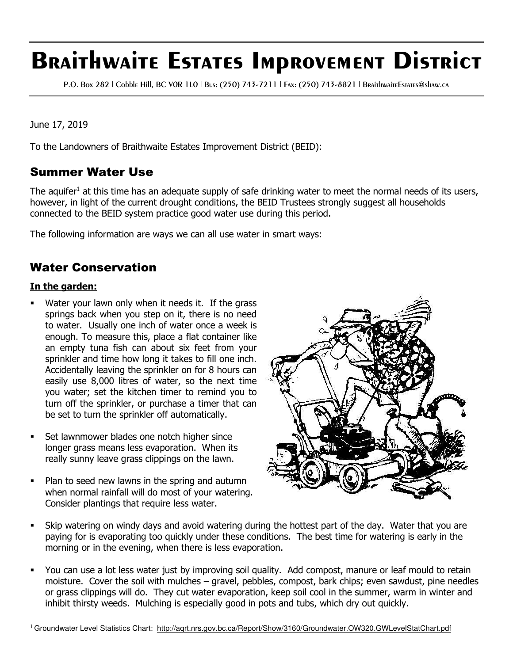# **Braithwaite Estates Improvement District**

P.O. Box 282 | Cobble Hill, BC V0R 1L0 | Bus: (250) 743-7211 | Fax: (250) 743-8821 | BraithwaiteEstates@shaw.ca

June 17, 2019

To the Landowners of Braithwaite Estates Improvement District (BEID):

## Summer Water Use

The aquifer<sup>1</sup> at this time has an adequate supply of safe drinking water to meet the normal needs of its users, however, in light of the current drought conditions, the BEID Trustees strongly suggest all households connected to the BEID system practice good water use during this period.

The following information are ways we can all use water in smart ways:

## Water Conservation

#### **In the garden:**

- Water your lawn only when it needs it. If the grass springs back when you step on it, there is no need to water. Usually one inch of water once a week is enough. To measure this, place a flat container like an empty tuna fish can about six feet from your sprinkler and time how long it takes to fill one inch. Accidentally leaving the sprinkler on for 8 hours can easily use 8,000 litres of water, so the next time you water; set the kitchen timer to remind you to turn off the sprinkler, or purchase a timer that can be set to turn the sprinkler off automatically.
- Set lawnmower blades one notch higher since longer grass means less evaporation. When its really sunny leave grass clippings on the lawn.
- Plan to seed new lawns in the spring and autumn when normal rainfall will do most of your watering. Consider plantings that require less water.



- Skip watering on windy days and avoid watering during the hottest part of the day. Water that you are paying for is evaporating too quickly under these conditions. The best time for watering is early in the morning or in the evening, when there is less evaporation.
- You can use a lot less water just by improving soil quality. Add compost, manure or leaf mould to retain moisture. Cover the soil with mulches – gravel, pebbles, compost, bark chips; even sawdust, pine needles or grass clippings will do. They cut water evaporation, keep soil cool in the summer, warm in winter and inhibit thirsty weeds. Mulching is especially good in pots and tubs, which dry out quickly.

<sup>1</sup> Groundwater Level Statistics Chart: http://aqrt.nrs.gov.bc.ca/Report/Show/3160/Groundwater.OW320.GWLevelStatChart.pdf